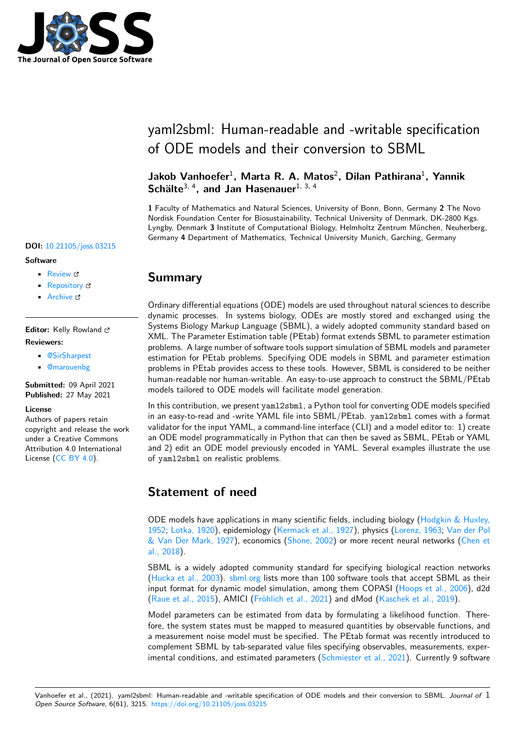

# yaml2sbml: Human-readable and -writable specification of ODE models and their conversion to SBML

### **Jakob Vanhoefer**<sup>1</sup> **, Marta R. A. Matos**<sup>2</sup> **, Dilan Pathirana**<sup>1</sup> **, Yannik Schälte**3, 4**, and Jan Hasenauer**1, 3, 4

**1** Faculty of Mathematics and Natural Sciences, University of Bonn, Bonn, Germany **2** The Novo Nordisk Foundation Center for Biosustainability, Technical University of Denmark, DK-2800 Kgs. Lyngby, Denmark **3** Institute of Computational Biology, Helmholtz Zentrum München, Neuherberg, Germany **4** Department of Mathematics, Technical University Munich, Garching, Germany

## **Summary**

Ordinary differential equations (ODE) models are used throughout natural sciences to describe dynamic processes. In systems biology, ODEs are mostly stored and exchanged using the Systems Biology Markup Language (SBML), a widely adopted community standard based on XML. The Parameter Estimation table (PEtab) format extends SBML to parameter estimation problems. A large number of software tools support simulation of SBML models and parameter estimation for PEtab problems. Specifying ODE models in SBML and parameter estimation problems in PEtab provides access to these tools. However, SBML is considered to be neither human-readable nor human-writable. An easy-to-use approach to construct the SBML/PEtab models tailored to ODE models will facilitate model generation.

In this contribution, we present yaml2sbml, a Python tool for converting ODE models specified in an easy-to-read and -write YAML file into SBML/PEtab. yaml2sbml comes with a format validator for the input YAML, a command-line interface (CLI) and a model editor to: 1) create an ODE model programmatically in Python that can then be saved as SBML, PEtab or YAML and 2) edit an ODE model previously encoded in YAML. Several examples illustrate the use of yaml2sbml on realistic problems.

# **Statement of need**

ODE models have applications in many scientific fields, including biology (Hodgkin & Huxley, 1952; Lotka, 1920), epidemiology (Kermack et al., 1927), physics (Lorenz, 1963; Van der Pol & Van Der Mark, 1927), economics (Shone, 2002) or more recent neural networks (Chen et al., 2018).

SBML is a widely adopted community standard for specifying biologica[l reaction networks](#page-4-0) [\(Huc](#page-4-0)k[a et al., 200](#page-4-1)3). sbml.org list[s more than 100 softw](#page-4-2)are tools [that accept S](#page-4-3)[BML as their](#page-5-0) [input format for dynam](#page-5-0)ic model simu[lation, among](#page-4-4) them COPASI (Hoops et al., 20[06\), d2d](#page-3-0) [\(Raue et](#page-3-0) al., 2015), AMICI (Fröhlich et al., 2021) and dMod (Kaschek et al., 2019).

Model parameters can be estimated from data by formulating a likelihood function. Theref[ore, the system sta](#page-4-5)te[s must be](http://sbml.org/SBML_Software_Guide/SBML_Software_Summary#cat_12) mapped to measured quantities by observable functions, and a measurement noise model must be specified. The PEtab format w[as recently introdu](#page-4-6)ced to [complement SBML](#page-4-7) by tab-s[eparated value files sp](#page-3-1)ecifying obse[rvables, measuremen](#page-4-8)ts, experimental conditions, and estimated parameters (Schmiester et al., 2021). Currently 9 software

#### **DOI:** 10.21105/joss.03215

#### **Software**

- Review &
- [Repository](https://doi.org/10.21105/joss.03215) &
- Archive

### **Editor:** [Kelly Row](https://github.com/yaml2sbml-dev/yaml2sbml)land **Revie[wers:](https://doi.org/10.5281/zenodo.4787416)**

- @SirSharpest
- @marouenbg

**Submitted:** 09 April 2021 **Published:** [27 May](https://github.com/SirSharpest) 2021

#### **Licen[se](https://github.com/marouenbg)**

Authors of papers retain copyright and release the work under a Creative Commons Attribution 4.0 International License (CC BY 4.0).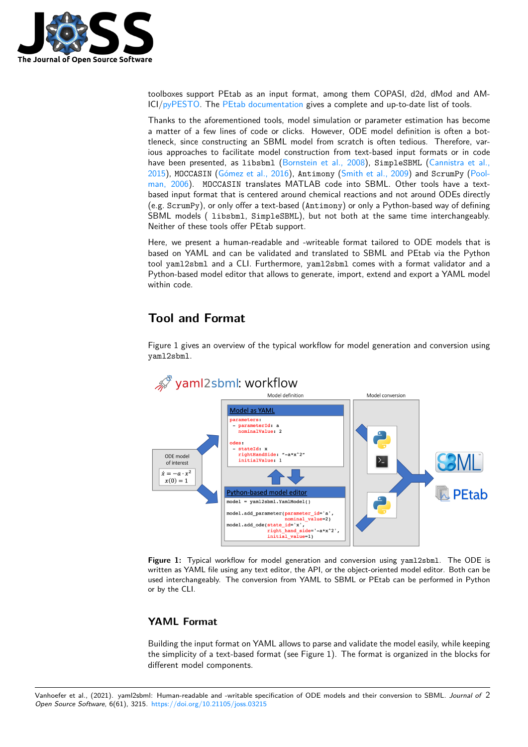

toolboxes support PEtab as an input format, among them COPASI, d2d, dMod and AM-ICI/pyPESTO. The PEtab documentation gives a complete and up-to-date list of tools.

Thanks to the aforementioned tools, model simulation or parameter estimation has become a matter of a few lines of code or clicks. However, ODE model definition is often a bottleneck, since constructing an SBML model from scratch is often tedious. Therefore, various [approach](https://github.com/ICB-DCM/pyPESTO)es to [facilitate model const](https://petab.readthedocs.io/en/latest/#petab-support-in-systems-biology-tools)ruction from text-based input formats or in code have been presented, as libsbml (Bornstein et al., 2008), SimpleSBML (Cannistra et al., 2015), MOCCASIN (Gómez et al., 2016), Antimony (Smith et al., 2009) and ScrumPy (Poolman, 2006). MOCCASIN translates MATLAB code into SBML. Other tools have a textbased input format that is centered around chemical reactions and not around ODEs directly (e.g. ScrumPy), or only offer a text-based ([Antimony](#page-3-2)) or only a Python-base[d way of defining](#page-3-3) [SBM](#page-3-3)L models ( libsbml, [SimpleSB](#page-4-10)ML), but not [both at the same](#page-5-1) time interchang[eably.](#page-4-11) [Neither of t](#page-4-11)hese tools offer PEtab support.

Here, we present a human-readable and -writeable format tailored to ODE models that is based on YAML and can be validated and translated to SBML and PEtab via the Python tool yaml2sbml and a CLI. Furthermore, yaml2sbml comes with a format validator and a Python-based model editor that allows to generate, import, extend and export a YAML model within code.

# **Tool and Format**

Figure 1 gives an overview of the typical workflow for model generation and conversion using yaml2sbml.



**Figure 1:** Typical workflow for model generation and conversion using yaml2sbml. The ODE is written as YAML file using any text editor, the API, or the object-oriented model editor. Both can be used interchangeably. The conversion from YAML to SBML or PEtab can be performed in Python or by the CLI.

### **YAML Format**

Building the input format on YAML allows to parse and validate the model easily, while keeping the simplicity of a text-based format (see Figure 1). The format is organized in the blocks for different model components.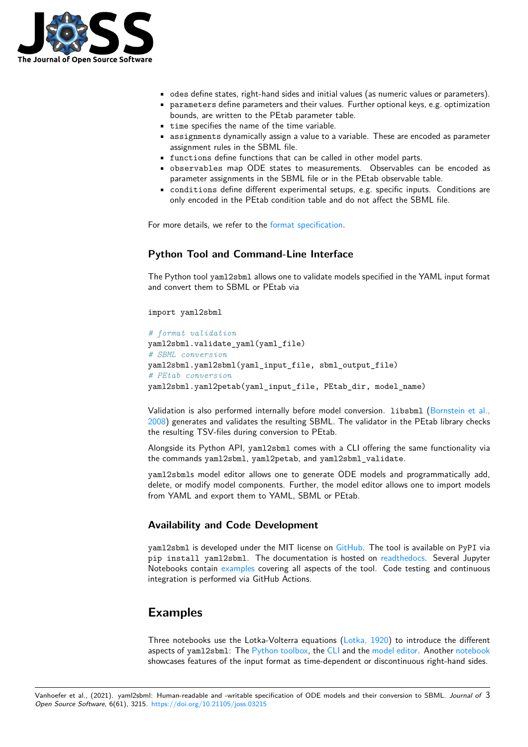

- odes define states, right-hand sides and initial values (as numeric values or parameters).
- parameters define parameters and their values. Further optional keys, e.g. optimization bounds, are written to the PEtab parameter table.
- time specifies the name of the time variable.
- assignments dynamically assign a value to a variable. These are encoded as parameter assignment rules in the SBML file.
- functions define functions that can be called in other model parts.
- observables map ODE states to measurements. Observables can be encoded as parameter assignments in the SBML file or in the PEtab observable table.
- conditions define different experimental setups, e.g. specific inputs. Conditions are only encoded in the PEtab condition table and do not affect the SBML file.

For more details, we refer to the format specification.

### **Python Tool and Command-Line Interface**

The Python tool yaml2sbml allo[ws one to validate mo](https://yaml2sbml.readthedocs.io/en/latest/format_specification.html)dels specified in the YAML input format and convert them to SBML or PEtab via

import yaml2sbml

```
# format validation
yaml2sbml.validate_yaml(yaml_file)
# SBML conversion
yaml2sbml.yaml2sbml(yaml_input_file, sbml_output_file)
# PEtab conversion
yaml2sbml.yaml2petab(yaml_input_file, PEtab_dir, model_name)
```
Validation is also performed internally before model conversion. Libsbml (Bornstein et al., 2008) generates and validates the resulting SBML. The validator in the PEtab library checks the resulting TSV-files during conversion to PEtab.

Alongside its Python API, yaml2sbml comes with a CLI offering the same [functionality via](#page-3-2) [the c](#page-3-2)ommands yaml2sbml, yaml2petab, and yaml2sbml\_validate.

yaml2sbmls model editor allows one to generate ODE models and programmatically add, delete, or modify model components. Further, the model editor allows one to import models from YAML and export them to YAML, SBML or PEtab.

### **Availability and Code Development**

yaml2sbml is developed under the MIT license on GitHub. The tool is available on PyPI via pip install yaml2sbml. The documentation is hosted on readthedocs. Several Jupyter Notebooks contain examples covering all aspects of the tool. Code testing and continuous integration is performed via GitHub Actions.

## **Examples**

Three notebooks use the Lotka-Volterra equations (Lotka, 1920) to introduce the different aspects of yaml2sbml: The Python toolbox, the CLI and the model editor. Another notebook showcases features of the input format as time-dependent or discontinuous right-hand sides.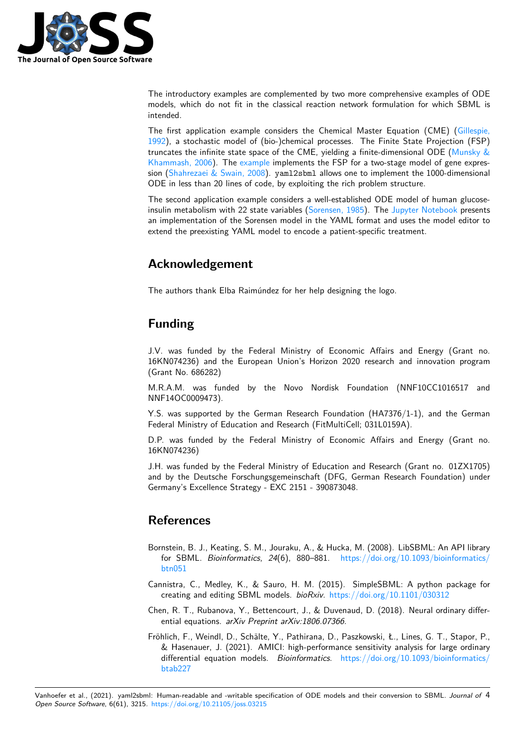

The introductory examples are complemented by two more comprehensive examples of ODE models, which do not fit in the classical reaction network formulation for which SBML is intended.

The first application example considers the Chemical Master Equation (CME) (Gillespie, 1992), a stochastic model of (bio-)chemical processes. The Finite State Projection (FSP) truncates the infinite state space of the CME, yielding a finite-dimensional ODE (Munsky  $\&$ Khammash, 2006). The example implements the FSP for a two-stage model of gene expression (Shahrezaei & Swain, 2008). yaml2sbml allows one to implement the 1000-di[mensional](#page-4-12) [ODE](#page-4-12) in less than 20 lines of code, by exploiting the rich problem structure.

The second application example considers a well-established ODE model of hum[an glucose](#page-4-13)[insulin metabolism](#page-4-13) with [22 state](https://github.com/yaml2sbml-dev/yaml2sbml/blob/master/doc/examples/Finite_State_Projection/Finite_State_Projection.ipynb) variables (Sorensen, 1985). The Jupyter Notebook presents an i[mplementation of the Soren](#page-4-14)sen model in the YAML format and uses the model editor to extend the preexisting YAML model to encode a patient-specific treatment.

# **Acknowledgement**

The authors thank Elba Raimúndez for her help designing the logo.

# **Funding**

J.V. was funded by the Federal Ministry of Economic Affairs and Energy (Grant no. 16KN074236) and the European Union's Horizon 2020 research and innovation program (Grant No. 686282)

M.R.A.M. was funded by the Novo Nordisk Foundation (NNF10CC1016517 and NNF14OC0009473).

Y.S. was supported by the German Research Foundation (HA7376/1-1), and the German Federal Ministry of Education and Research (FitMultiCell; 031L0159A).

D.P. was funded by the Federal Ministry of Economic Affairs and Energy (Grant no. 16KN074236)

J.H. was funded by the Federal Ministry of Education and Research (Grant no. 01ZX1705) and by the Deutsche Forschungsgemeinschaft (DFG, German Research Foundation) under Germany's Excellence Strategy - EXC 2151 - 390873048.

## **References**

- Bornstein, B. J., Keating, S. M., Jouraku, A., & Hucka, M. (2008). LibSBML: An API library for SBML. *Bioinformatics*, *24*(6), 880–881. https://doi.org/10.1093/bioinformatics/ btn051
- <span id="page-3-2"></span>Cannistra, C., Medley, K., & Sauro, H. M. (2015). SimpleSBML: A python package for creating and editing SBML models. *bioRxiv*. htt[ps://doi.org/10.1101/030312](https://doi.org/10.1093/bioinformatics/btn051)
- Ch[en, R. T](https://doi.org/10.1093/bioinformatics/btn051)., Rubanova, Y., Bettencourt, J., & Duvenaud, D. (2018). Neural ordinary differential equations. *arXiv Preprint arXiv:1806.07366*.
- <span id="page-3-3"></span><span id="page-3-1"></span><span id="page-3-0"></span>Fröhlich, F., Weindl, D., Schälte, Y., Pathirana, [D., Paszkowski, Ł., Lines, G. T.,](https://doi.org/10.1101/030312) Stapor, P., & Hasenauer, J. (2021). AMICI: high-performance sensitivity analysis for large ordinary differential equation models. *Bioinformatics*. https://doi.org/10.1093/bioinformatics/ btab227

Vanhoefer et al., (2021). yaml2sbml: Human-readable and -writable specification of ODE mod[els and their conversion to SBML.](https://doi.org/10.1093/bioinformatics/btab227) *Journal of* 4*Open Source Software*, 6(61), 3215. htt[ps://doi.o](https://doi.org/10.1093/bioinformatics/btab227)rg/10.21105/joss.03215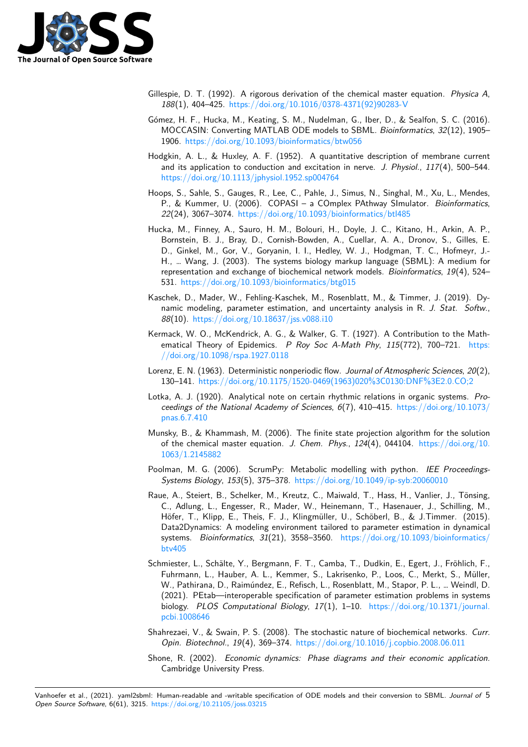

- Gillespie, D. T. (1992). A rigorous derivation of the chemical master equation. *Physica A*, *188*(1), 404–425. https://doi.org/10.1016/0378-4371(92)90283-V
- Gómez, H. F., Hucka, M., Keating, S. M., Nudelman, G., Iber, D., & Sealfon, S. C. (2016). MOCCASIN: Converting MATLAB ODE models to SBML. *Bioinformatics*, *32*(12), 1905– 1906. https://doi[.org/10.1093/bioinformatics/btw056](https://doi.org/10.1016/0378-4371(92)90283-V)
- <span id="page-4-12"></span><span id="page-4-10"></span>Hodgkin, A. L., & Huxley, A. F. (1952). A quantitative description of membrane current and its application to conduction and excitation in nerve. *J. Physiol.*, *117*(4), 500–544. https:[//doi.org/10.1113/jphysiol.1952.sp004764](https://doi.org/10.1093/bioinformatics/btw056)
- <span id="page-4-0"></span>Hoops, S., Sahle, S., Gauges, R., Lee, C., Pahle, J., Simus, N., Singhal, M., Xu, L., Mendes, P., & Kummer, U. (2006). COPASI – a COmplex PAthway SImulator. *Bioinformatics*, *22*(24), 3067–3074. https://doi.org/10.1093/bioinformatics/btl485
- <span id="page-4-6"></span>Hu[cka, M., Finney, A., Sauro, H. M., Bolouri, H.,](https://doi.org/10.1113/jphysiol.1952.sp004764) Doyle, J. C., Kitano, H., Arkin, A. P., Bornstein, B. J., Bray, D., Cornish-Bowden, A., Cuellar, A. A., Dronov, S., Gilles, E. D., Ginkel, M., Gor, V., Goryanin, I. I., Hedley, W. J., Hodgman, T. C., Hofmeyr, J.- H., … Wang, J. (20[03\). The systems biology markup language \(SB](https://doi.org/10.1093/bioinformatics/btl485)ML): A medium for representation and exchange of biochemical network models. *Bioinformatics*, *19*(4), 524– 531. https://doi.org/10.1093/bioinformatics/btg015
- <span id="page-4-5"></span>Kaschek, D., Mader, W., Fehling-Kaschek, M., Rosenblatt, M., & Timmer, J. (2019). Dynamic modeling, parameter estimation, and uncertainty analysis in R. *J. Stat. Softw.*, *88*(10). [https://doi.org/10.18637/jss.v088.i10](https://doi.org/10.1093/bioinformatics/btg015)
- <span id="page-4-8"></span>Kermack, W. O., McKendrick, A. G., & Walker, G. T. (1927). A Contribution to the Mathematical Theory of Epidemics. *P Roy Soc A-Math Phy*, *115*(772), 700–721. https: //doi.or[g/10.1098/rspa.1927.0118](https://doi.org/10.18637/jss.v088.i10)
- Lorenz, E. N. (1963). Deterministic nonperiodic flow. *Journal of Atmospheric Sciences*, *20*(2), 130–141. https://doi.org/10.1175/1520-0469(1963)020%3C0130:DNF%3E2.0.CO;2
- <span id="page-4-2"></span>Lot[ka, A. J. \(1920\). Analytical note o](https://doi.org/10.1098/rspa.1927.0118)n certain rhythmic relations in organic systems. *[Pro](https://doi.org/10.1098/rspa.1927.0118)ceedings of the National Academy of Sciences*, *6*(7), 410–415. https://doi.org/10.1073/ pnas.6.7.410
- <span id="page-4-3"></span><span id="page-4-1"></span>Munsky, B., [& Khammash, M. \(2006\). The finite state projection algorithm for the solu](https://doi.org/10.1175/1520-0469(1963)020%3C0130:DNF%3E2.0.CO;2)tion of the chemical master equation. *J. Chem. Phys.*, *124*(4), 044104. [https://doi.org/10.](https://doi.org/10.1073/pnas.6.7.410) [1063/1.2145](https://doi.org/10.1073/pnas.6.7.410)882
- Poolman, M. G. (2006). ScrumPy: Metabolic modelling with python. *IEE Proceedings-Systems Biology*, *153*(5), 375–378. https://doi.org/10.1049/ip-syb:20060010
- <span id="page-4-13"></span><span id="page-4-11"></span>Ra[ue, A., Steiert, B](https://doi.org/10.1063/1.2145882)., Schelker, M., Kreutz, C., Maiwald, T., Hass, H., [Vanlier, J., Tönsing,](https://doi.org/10.1063/1.2145882) C., Adlung, L., Engesser, R., Mader, W., Heinemann, T., Hasenauer, J., Schilling, M., Höfer, T., Klipp, E., Theis, F. J., Klingmüller, U., Schöberl, B., & J.Timmer. (2015). Data2Dynamics: A modeling enviro[nment tailored to parameter estimation in](https://doi.org/10.1049/ip-syb:20060010) dynamical systems. *Bioinformatics*, *31*(21), 3558–3560. https://doi.org/10.1093/bioinformatics/ btv405
- <span id="page-4-7"></span>Schmiester, L., Schälte, Y., Bergmann, F. T., Camba, T., Dudkin, E., Egert, J., Fröhlich, F., Fuhrmann, L., Hauber, A. L., Kemmer, S., Lakrisenko, P., Loos, C., Merkt, S., Müller, W., Pathirana, D., Raimúndez, E., Refisch, L., R[osenblatt, M., Stapor, P. L., … Weindl, D.](https://doi.org/10.1093/bioinformatics/btv405) [\(2021\).](https://doi.org/10.1093/bioinformatics/btv405) PEtab—interoperable specification of parameter estimation problems in systems biology. *PLOS Computational Biology*, *17*(1), 1–10. https://doi.org/10.1371/journal. pcbi.1008646
- <span id="page-4-9"></span>Shahrezaei, V., & Swain, P. S. (2008). The stochastic nature of biochemical networks. *Curr. Opin. Biotechnol.*, *19*(4), 369–374. https://doi.org/10.[1016/j.copbio.2008.06.011](https://doi.org/10.1371/journal.pcbi.1008646)
- <span id="page-4-14"></span><span id="page-4-4"></span>Sh[one, R. \(2002](https://doi.org/10.1371/journal.pcbi.1008646)). *Economic dynamics: Phase diagrams and their economic application*. Cambridge University Press.